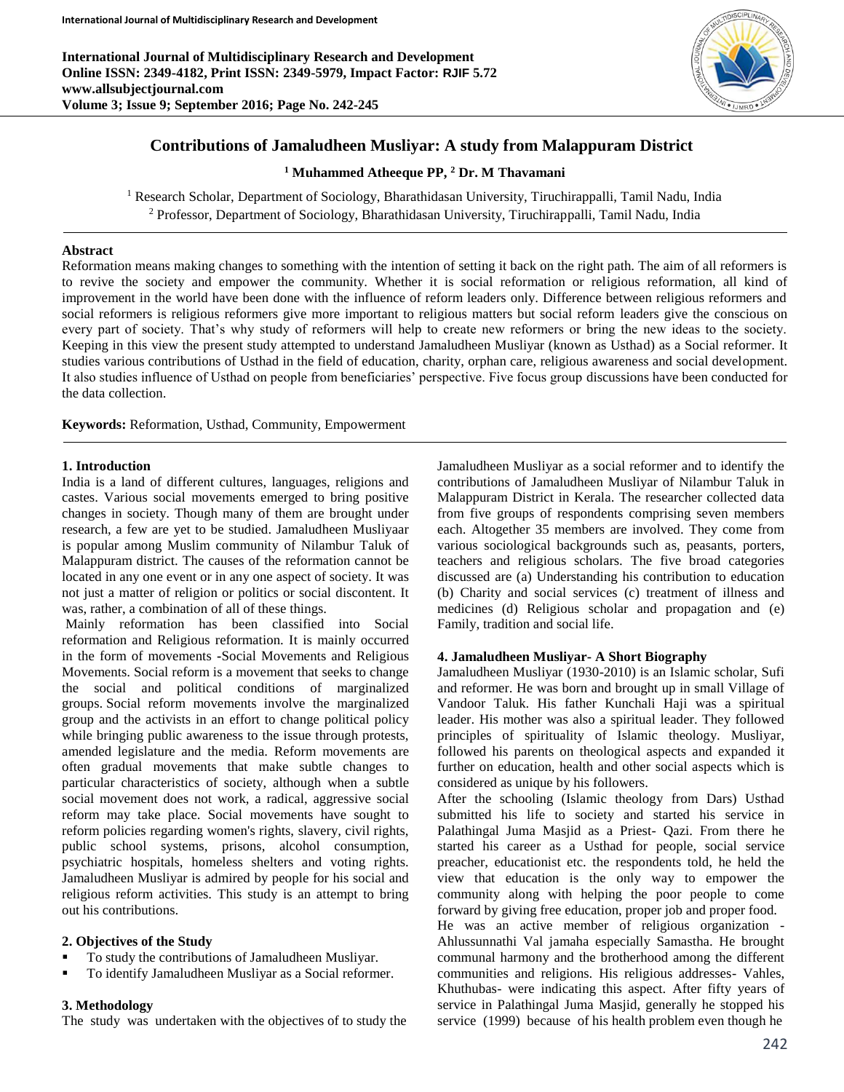**International Journal of Multidisciplinary Research and Development Online ISSN: 2349-4182, Print ISSN: 2349-5979, Impact Factor: RJIF 5.72 www.allsubjectjournal.com Volume 3; Issue 9; September 2016; Page No. 242-245**



# **Contributions of Jamaludheen Musliyar: A study from Malappuram District**

**<sup>1</sup> Muhammed Atheeque PP, <sup>2</sup> Dr. M Thavamani**

<sup>1</sup> Research Scholar, Department of Sociology, Bharathidasan University, Tiruchirappalli, Tamil Nadu, India <sup>2</sup> Professor, Department of Sociology, Bharathidasan University, Tiruchirappalli, Tamil Nadu, India

### **Abstract**

Reformation means making changes to something with the intention of setting it back on the right path. The aim of all reformers is to revive the society and empower the community. Whether it is social reformation or religious reformation, all kind of improvement in the world have been done with the influence of reform leaders only. Difference between religious reformers and social reformers is religious reformers give more important to religious matters but social reform leaders give the conscious on every part of society. That's why study of reformers will help to create new reformers or bring the new ideas to the society. Keeping in this view the present study attempted to understand Jamaludheen Musliyar (known as Usthad) as a Social reformer. It studies various contributions of Usthad in the field of education, charity, orphan care, religious awareness and social development. It also studies influence of Usthad on people from beneficiaries' perspective. Five focus group discussions have been conducted for the data collection.

**Keywords:** Reformation, Usthad, Community, Empowerment

### **1. Introduction**

India is a land of different cultures, languages, religions and castes. Various social movements emerged to bring positive changes in society. Though many of them are brought under research, a few are yet to be studied. Jamaludheen Musliyaar is popular among Muslim community of Nilambur Taluk of Malappuram district. The causes of the reformation cannot be located in any one event or in any one aspect of society. It was not just a matter of religion or politics or social discontent. It was, rather, a combination of all of these things.

Mainly reformation has been classified into Social reformation and Religious reformation. It is mainly occurred in the form of movements **-**Social Movements and Religious Movements. Social reform is a movement that seeks to change the social and political conditions of marginalized groups. Social reform movements involve the marginalized group and the activists in an effort to change political policy while bringing public awareness to the issue through protests, amended legislature and the media. Reform movements are often gradual movements that make subtle changes to particular characteristics of society, although when a subtle social movement does not work, a radical, aggressive social reform may take place. Social movements have sought to reform policies regarding women's rights, slavery, civil rights, public school systems, prisons, alcohol consumption, psychiatric hospitals, homeless shelters and voting rights. Jamaludheen Musliyar is admired by people for his social and religious reform activities. This study is an attempt to bring out his contributions.

### **2. Objectives of the Study**

- To study the contributions of Jamaludheen Musliyar.
- To identify Jamaludheen Musliyar as a Social reformer.

#### **3. Methodology**

The study was undertaken with the objectives of to study the

Jamaludheen Musliyar as a social reformer and to identify the contributions of Jamaludheen Musliyar of Nilambur Taluk in Malappuram District in Kerala. The researcher collected data from five groups of respondents comprising seven members each. Altogether 35 members are involved. They come from various sociological backgrounds such as, peasants, porters, teachers and religious scholars. The five broad categories discussed are (a) Understanding his contribution to education (b) Charity and social services (c) treatment of illness and medicines (d) Religious scholar and propagation and (e) Family, tradition and social life.

### **4. Jamaludheen Musliyar- A Short Biography**

Jamaludheen Musliyar (1930-2010) is an Islamic scholar, Sufi and reformer. He was born and brought up in small Village of Vandoor Taluk. His father Kunchali Haji was a spiritual leader. His mother was also a spiritual leader. They followed principles of spirituality of Islamic theology. Musliyar, followed his parents on theological aspects and expanded it further on education, health and other social aspects which is considered as unique by his followers.

After the schooling (Islamic theology from Dars) Usthad submitted his life to society and started his service in Palathingal Juma Masjid as a Priest- Qazi. From there he started his career as a Usthad for people, social service preacher, educationist etc. the respondents told, he held the view that education is the only way to empower the community along with helping the poor people to come forward by giving free education, proper job and proper food.

He was an active member of religious organization - Ahlussunnathi Val jamaha especially Samastha. He brought communal harmony and the brotherhood among the different communities and religions. His religious addresses- Vahles, Khuthubas- were indicating this aspect. After fifty years of service in Palathingal Juma Masjid, generally he stopped his service (1999) because of his health problem even though he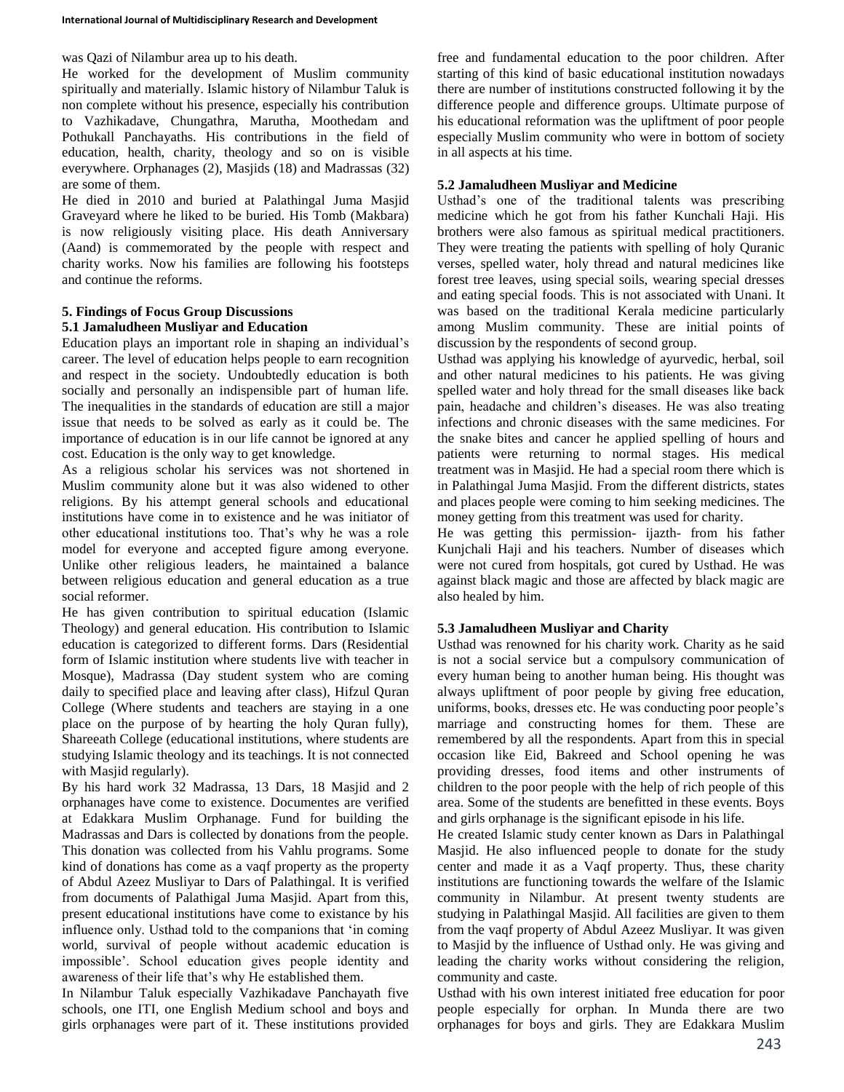was Qazi of Nilambur area up to his death.

He worked for the development of Muslim community spiritually and materially. Islamic history of Nilambur Taluk is non complete without his presence, especially his contribution to Vazhikadave, Chungathra, Marutha, Moothedam and Pothukall Panchayaths. His contributions in the field of education, health, charity, theology and so on is visible everywhere. Orphanages (2), Masjids (18) and Madrassas (32) are some of them.

He died in 2010 and buried at Palathingal Juma Masjid Graveyard where he liked to be buried. His Tomb (Makbara) is now religiously visiting place. His death Anniversary (Aand) is commemorated by the people with respect and charity works. Now his families are following his footsteps and continue the reforms.

### **5. Findings of Focus Group Discussions 5.1 Jamaludheen Musliyar and Education**

Education plays an important role in shaping an individual's career. The level of education helps people to earn recognition and respect in the society. Undoubtedly education is both socially and personally an indispensible part of human life. The inequalities in the standards of education are still a major issue that needs to be solved as early as it could be. The importance of education is in our life cannot be ignored at any cost. Education is the only way to get knowledge.

As a religious scholar his services was not shortened in Muslim community alone but it was also widened to other religions. By his attempt general schools and educational institutions have come in to existence and he was initiator of other educational institutions too. That's why he was a role model for everyone and accepted figure among everyone. Unlike other religious leaders, he maintained a balance between religious education and general education as a true social reformer.

He has given contribution to spiritual education (Islamic Theology) and general education. His contribution to Islamic education is categorized to different forms. Dars (Residential form of Islamic institution where students live with teacher in Mosque), Madrassa (Day student system who are coming daily to specified place and leaving after class), Hifzul Quran College (Where students and teachers are staying in a one place on the purpose of by hearting the holy Quran fully), Shareeath College (educational institutions, where students are studying Islamic theology and its teachings. It is not connected with Masjid regularly).

By his hard work 32 Madrassa, 13 Dars, 18 Masjid and 2 orphanages have come to existence. Documentes are verified at Edakkara Muslim Orphanage. Fund for building the Madrassas and Dars is collected by donations from the people. This donation was collected from his Vahlu programs. Some kind of donations has come as a vaqf property as the property of Abdul Azeez Musliyar to Dars of Palathingal. It is verified from documents of Palathigal Juma Masjid. Apart from this, present educational institutions have come to existance by his influence only. Usthad told to the companions that 'in coming world, survival of people without academic education is impossible'. School education gives people identity and awareness of their life that's why He established them.

In Nilambur Taluk especially Vazhikadave Panchayath five schools, one ITI, one English Medium school and boys and girls orphanages were part of it. These institutions provided free and fundamental education to the poor children. After starting of this kind of basic educational institution nowadays there are number of institutions constructed following it by the difference people and difference groups. Ultimate purpose of his educational reformation was the upliftment of poor people especially Muslim community who were in bottom of society in all aspects at his time.

## **5.2 Jamaludheen Musliyar and Medicine**

Usthad's one of the traditional talents was prescribing medicine which he got from his father Kunchali Haji. His brothers were also famous as spiritual medical practitioners. They were treating the patients with spelling of holy Quranic verses, spelled water, holy thread and natural medicines like forest tree leaves, using special soils, wearing special dresses and eating special foods. This is not associated with Unani. It was based on the traditional Kerala medicine particularly among Muslim community. These are initial points of discussion by the respondents of second group.

Usthad was applying his knowledge of ayurvedic, herbal, soil and other natural medicines to his patients. He was giving spelled water and holy thread for the small diseases like back pain, headache and children's diseases. He was also treating infections and chronic diseases with the same medicines. For the snake bites and cancer he applied spelling of hours and patients were returning to normal stages. His medical treatment was in Masjid. He had a special room there which is in Palathingal Juma Masjid. From the different districts, states and places people were coming to him seeking medicines. The money getting from this treatment was used for charity.

He was getting this permission- ijazth- from his father Kunjchali Haji and his teachers. Number of diseases which were not cured from hospitals, got cured by Usthad. He was against black magic and those are affected by black magic are also healed by him.

## **5.3 Jamaludheen Musliyar and Charity**

Usthad was renowned for his charity work. Charity as he said is not a social service but a compulsory communication of every human being to another human being. His thought was always upliftment of poor people by giving free education, uniforms, books, dresses etc. He was conducting poor people's marriage and constructing homes for them. These are remembered by all the respondents. Apart from this in special occasion like Eid, Bakreed and School opening he was providing dresses, food items and other instruments of children to the poor people with the help of rich people of this area. Some of the students are benefitted in these events. Boys and girls orphanage is the significant episode in his life.

He created Islamic study center known as Dars in Palathingal Masjid. He also influenced people to donate for the study center and made it as a Vaqf property. Thus, these charity institutions are functioning towards the welfare of the Islamic community in Nilambur. At present twenty students are studying in Palathingal Masjid. All facilities are given to them from the vaqf property of Abdul Azeez Musliyar. It was given to Masjid by the influence of Usthad only. He was giving and leading the charity works without considering the religion, community and caste.

Usthad with his own interest initiated free education for poor people especially for orphan. In Munda there are two orphanages for boys and girls. They are Edakkara Muslim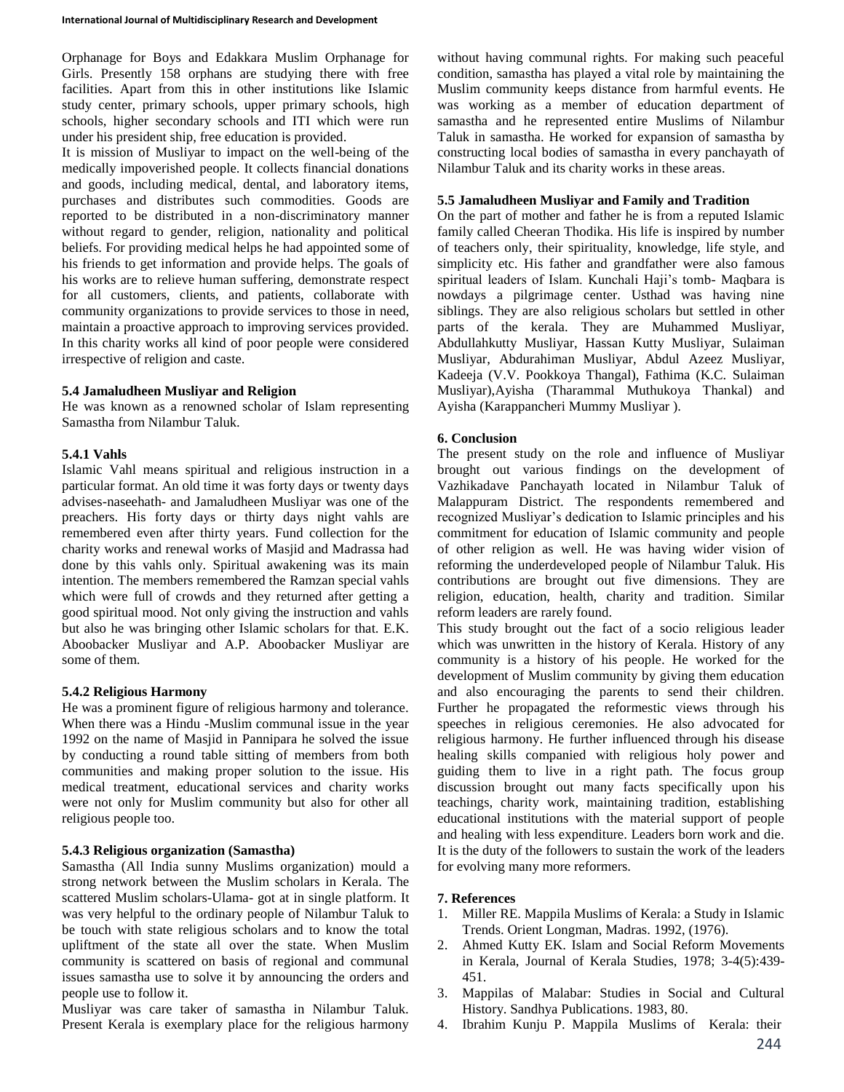Orphanage for Boys and Edakkara Muslim Orphanage for Girls. Presently 158 orphans are studying there with free facilities. Apart from this in other institutions like Islamic study center, primary schools, upper primary schools, high schools, higher secondary schools and ITI which were run under his president ship, free education is provided.

It is mission of Musliyar to impact on the well-being of the medically impoverished people. It collects financial donations and goods, including medical, dental, and laboratory items, purchases and distributes such commodities. Goods are reported to be distributed in a non-discriminatory manner without regard to gender, religion, nationality and political beliefs. For providing medical helps he had appointed some of his friends to get information and provide helps. The goals of his works are to relieve human suffering, demonstrate respect for all customers, clients, and patients, collaborate with community organizations to provide services to those in need, maintain a proactive approach to improving services provided. In this charity works all kind of poor people were considered irrespective of religion and caste.

## **5.4 Jamaludheen Musliyar and Religion**

He was known as a renowned scholar of Islam representing Samastha from Nilambur Taluk.

## **5.4.1 Vahls**

Islamic Vahl means spiritual and religious instruction in a particular format. An old time it was forty days or twenty days advises-naseehath- and Jamaludheen Musliyar was one of the preachers. His forty days or thirty days night vahls are remembered even after thirty years. Fund collection for the charity works and renewal works of Masjid and Madrassa had done by this vahls only. Spiritual awakening was its main intention. The members remembered the Ramzan special vahls which were full of crowds and they returned after getting a good spiritual mood. Not only giving the instruction and vahls but also he was bringing other Islamic scholars for that. E.K. Aboobacker Musliyar and A.P. Aboobacker Musliyar are some of them.

### **5.4.2 Religious Harmony**

He was a prominent figure of religious harmony and tolerance. When there was a Hindu -Muslim communal issue in the year 1992 on the name of Masjid in Pannipara he solved the issue by conducting a round table sitting of members from both communities and making proper solution to the issue. His medical treatment, educational services and charity works were not only for Muslim community but also for other all religious people too.

### **5.4.3 Religious organization (Samastha)**

Samastha (All India sunny Muslims organization) mould a strong network between the Muslim scholars in Kerala. The scattered Muslim scholars-Ulama- got at in single platform. It was very helpful to the ordinary people of Nilambur Taluk to be touch with state religious scholars and to know the total upliftment of the state all over the state. When Muslim community is scattered on basis of regional and communal issues samastha use to solve it by announcing the orders and people use to follow it.

Musliyar was care taker of samastha in Nilambur Taluk. Present Kerala is exemplary place for the religious harmony without having communal rights. For making such peaceful condition, samastha has played a vital role by maintaining the Muslim community keeps distance from harmful events. He was working as a member of education department of samastha and he represented entire Muslims of Nilambur Taluk in samastha. He worked for expansion of samastha by constructing local bodies of samastha in every panchayath of Nilambur Taluk and its charity works in these areas.

## **5.5 Jamaludheen Musliyar and Family and Tradition**

On the part of mother and father he is from a reputed Islamic family called Cheeran Thodika. His life is inspired by number of teachers only, their spirituality, knowledge, life style, and simplicity etc. His father and grandfather were also famous spiritual leaders of Islam. Kunchali Haji's tomb- Maqbara is nowdays a pilgrimage center. Usthad was having nine siblings. They are also religious scholars but settled in other parts of the kerala. They are Muhammed Musliyar, Abdullahkutty Musliyar, Hassan Kutty Musliyar, Sulaiman Musliyar, Abdurahiman Musliyar, Abdul Azeez Musliyar, Kadeeja (V.V. Pookkoya Thangal), Fathima (K.C. Sulaiman Musliyar),Ayisha (Tharammal Muthukoya Thankal) and Ayisha (Karappancheri Mummy Musliyar ).

## **6. Conclusion**

The present study on the role and influence of Musliyar brought out various findings on the development of Vazhikadave Panchayath located in Nilambur Taluk of Malappuram District. The respondents remembered and recognized Musliyar's dedication to Islamic principles and his commitment for education of Islamic community and people of other religion as well. He was having wider vision of reforming the underdeveloped people of Nilambur Taluk. His contributions are brought out five dimensions. They are religion, education, health, charity and tradition. Similar reform leaders are rarely found.

This study brought out the fact of a socio religious leader which was unwritten in the history of Kerala. History of any community is a history of his people. He worked for the development of Muslim community by giving them education and also encouraging the parents to send their children. Further he propagated the reformestic views through his speeches in religious ceremonies. He also advocated for religious harmony. He further influenced through his disease healing skills companied with religious holy power and guiding them to live in a right path. The focus group discussion brought out many facts specifically upon his teachings, charity work, maintaining tradition, establishing educational institutions with the material support of people and healing with less expenditure. Leaders born work and die. It is the duty of the followers to sustain the work of the leaders for evolving many more reformers.

## **7. References**

- 1. Miller RE. Mappila Muslims of Kerala: a Study in Islamic Trends. Orient Longman, Madras. 1992, (1976).
- 2. Ahmed Kutty EK. Islam and Social Reform Movements in Kerala, Journal of Kerala Studies, 1978; 3-4(5):439- 451.
- 3. Mappilas of Malabar: Studies in Social and Cultural History. Sandhya Publications. 1983, 80.
- 4. Ibrahim Kunju P. Mappila Muslims of Kerala: their